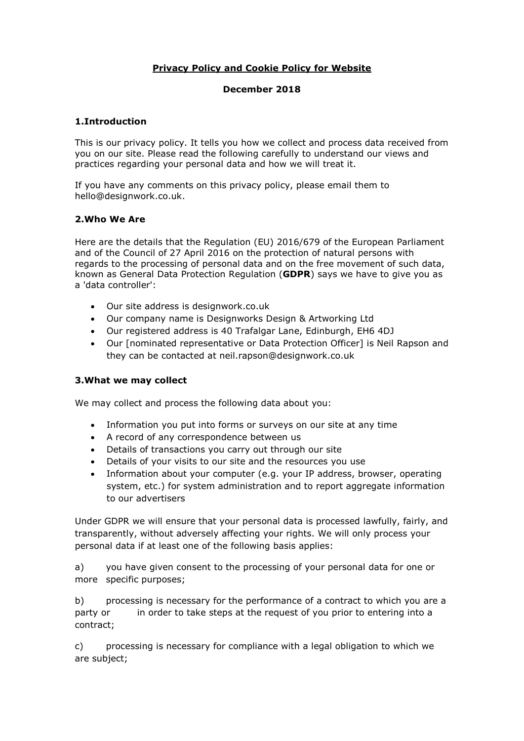# **Privacy Policy and Cookie Policy for Website**

# **December 2018**

# **1.Introduction**

This is our privacy policy. It tells you how we collect and process data received from you on our site. Please read the following carefully to understand our views and practices regarding your personal data and how we will treat it.

If you have any comments on this privacy policy, please email them to hello@designwork.co.uk.

# **2.Who We Are**

Here are the details that the Regulation (EU) 2016/679 of the European Parliament and of the Council of 27 April 2016 on the protection of natural persons with regards to the processing of personal data and on the free movement of such data, known as General Data Protection Regulation (**GDPR**) says we have to give you as a 'data controller':

- Our site address is designwork.co.uk
- Our company name is Designworks Design & Artworking Ltd
- Our registered address is 40 Trafalgar Lane, Edinburgh, EH6 4DJ
- Our [nominated representative or Data Protection Officer] is Neil Rapson and they can be contacted at neil.rapson@designwork.co.uk

#### **3.What we may collect**

We may collect and process the following data about you:

- Information you put into forms or surveys on our site at any time
- A record of any correspondence between us
- Details of transactions you carry out through our site
- Details of your visits to our site and the resources you use
- Information about your computer (e.g. your IP address, browser, operating system, etc.) for system administration and to report aggregate information to our advertisers

Under GDPR we will ensure that your personal data is processed lawfully, fairly, and transparently, without adversely affecting your rights. We will only process your personal data if at least one of the following basis applies:

a) you have given consent to the processing of your personal data for one or more specific purposes;

b) processing is necessary for the performance of a contract to which you are a party or in order to take steps at the request of you prior to entering into a contract;

c) processing is necessary for compliance with a legal obligation to which we are subject;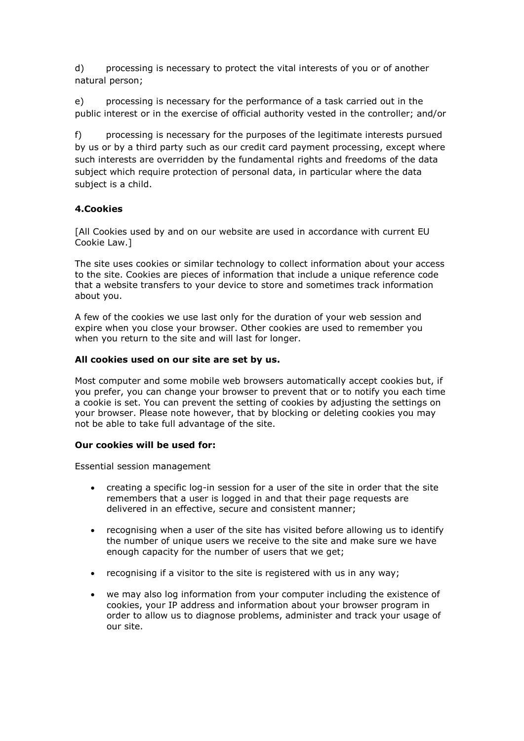d) processing is necessary to protect the vital interests of you or of another natural person;

e) processing is necessary for the performance of a task carried out in the public interest or in the exercise of official authority vested in the controller; and/or

f) processing is necessary for the purposes of the legitimate interests pursued by us or by a third party such as our credit card payment processing, except where such interests are overridden by the fundamental rights and freedoms of the data subject which require protection of personal data, in particular where the data subject is a child.

# **4.Cookies**

[All Cookies used by and on our website are used in accordance with current EU Cookie Law.]

The site uses cookies or similar technology to collect information about your access to the site. Cookies are pieces of information that include a unique reference code that a website transfers to your device to store and sometimes track information about you.

A few of the cookies we use last only for the duration of your web session and expire when you close your browser. Other cookies are used to remember you when you return to the site and will last for longer.

#### **All cookies used on our site are set by us.**

Most computer and some mobile web browsers automatically accept cookies but, if you prefer, you can change your browser to prevent that or to notify you each time a cookie is set. You can prevent the setting of cookies by adjusting the settings on your browser. Please note however, that by blocking or deleting cookies you may not be able to take full advantage of the site.

#### **Our cookies will be used for:**

Essential session management

- creating a specific log-in session for a user of the site in order that the site remembers that a user is logged in and that their page requests are delivered in an effective, secure and consistent manner;
- recognising when a user of the site has visited before allowing us to identify the number of unique users we receive to the site and make sure we have enough capacity for the number of users that we get;
- recognising if a visitor to the site is registered with us in any way;
- we may also log information from your computer including the existence of cookies, your IP address and information about your browser program in order to allow us to diagnose problems, administer and track your usage of our site.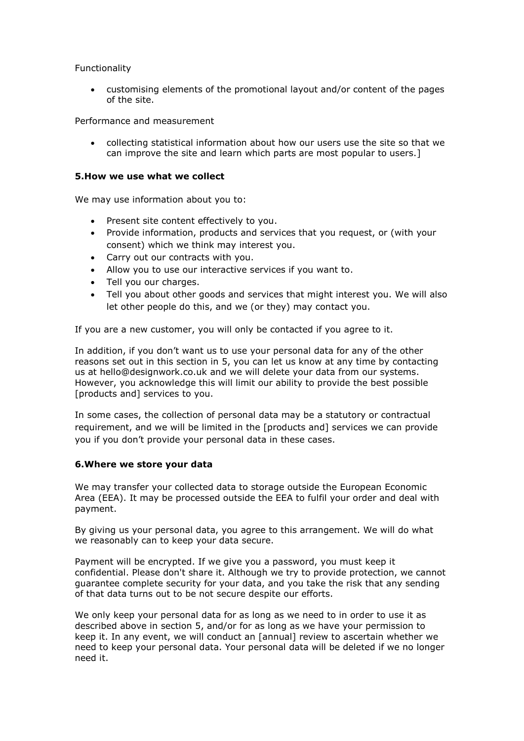# Functionality

• customising elements of the promotional layout and/or content of the pages of the site.

Performance and measurement

• collecting statistical information about how our users use the site so that we can improve the site and learn which parts are most popular to users.]

### **5.How we use what we collect**

We may use information about you to:

- Present site content effectively to you.
- Provide information, products and services that you request, or (with your consent) which we think may interest you.
- Carry out our contracts with you.
- Allow you to use our interactive services if you want to.
- Tell you our charges.
- Tell you about other goods and services that might interest you. We will also let other people do this, and we (or they) may contact you.

If you are a new customer, you will only be contacted if you agree to it.

In addition, if you don't want us to use your personal data for any of the other reasons set out in this section in 5, you can let us know at any time by contacting us at hello@designwork.co.uk and we will delete your data from our systems. However, you acknowledge this will limit our ability to provide the best possible [products and] services to you.

In some cases, the collection of personal data may be a statutory or contractual requirement, and we will be limited in the [products and] services we can provide you if you don't provide your personal data in these cases.

#### **6.Where we store your data**

We may transfer your collected data to storage outside the European Economic Area (EEA). It may be processed outside the EEA to fulfil your order and deal with payment.

By giving us your personal data, you agree to this arrangement. We will do what we reasonably can to keep your data secure.

Payment will be encrypted. If we give you a password, you must keep it confidential. Please don't share it. Although we try to provide protection, we cannot guarantee complete security for your data, and you take the risk that any sending of that data turns out to be not secure despite our efforts.

We only keep your personal data for as long as we need to in order to use it as described above in section 5, and/or for as long as we have your permission to keep it. In any event, we will conduct an [annual] review to ascertain whether we need to keep your personal data. Your personal data will be deleted if we no longer need it.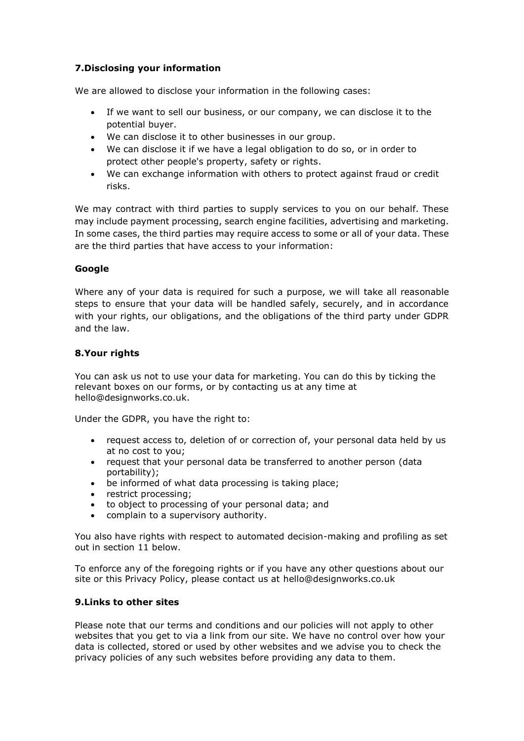# **7.Disclosing your information**

We are allowed to disclose your information in the following cases:

- If we want to sell our business, or our company, we can disclose it to the potential buyer.
- We can disclose it to other businesses in our group.
- We can disclose it if we have a legal obligation to do so, or in order to protect other people's property, safety or rights.
- We can exchange information with others to protect against fraud or credit risks.

We may contract with third parties to supply services to you on our behalf. These may include payment processing, search engine facilities, advertising and marketing. In some cases, the third parties may require access to some or all of your data. These are the third parties that have access to your information:

# **Google**

Where any of your data is required for such a purpose, we will take all reasonable steps to ensure that your data will be handled safely, securely, and in accordance with your rights, our obligations, and the obligations of the third party under GDPR and the law.

# **8.Your rights**

You can ask us not to use your data for marketing. You can do this by ticking the relevant boxes on our forms, or by contacting us at any time at hello@designworks.co.uk.

Under the GDPR, you have the right to:

- request access to, deletion of or correction of, your personal data held by us at no cost to you;
- request that your personal data be transferred to another person (data portability);
- be informed of what data processing is taking place;
- restrict processing;
- to object to processing of your personal data; and
- complain to a supervisory authority.

You also have rights with respect to automated decision-making and profiling as set out in section 11 below.

To enforce any of the foregoing rights or if you have any other questions about our site or this Privacy Policy, please contact us at hello@designworks.co.uk

### **9.Links to other sites**

Please note that our terms and conditions and our policies will not apply to other websites that you get to via a link from our site. We have no control over how your data is collected, stored or used by other websites and we advise you to check the privacy policies of any such websites before providing any data to them.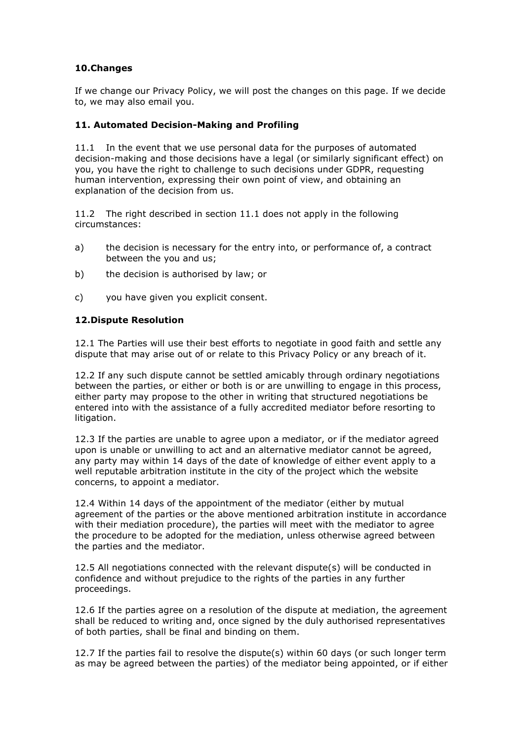# **10.Changes**

If we change our Privacy Policy, we will post the changes on this page. If we decide to, we may also email you.

# **11. Automated Decision-Making and Profiling**

11.1 In the event that we use personal data for the purposes of automated decision-making and those decisions have a legal (or similarly significant effect) on you, you have the right to challenge to such decisions under GDPR, requesting human intervention, expressing their own point of view, and obtaining an explanation of the decision from us.

11.2 The right described in section 11.1 does not apply in the following circumstances:

- a) the decision is necessary for the entry into, or performance of, a contract between the you and us;
- b) the decision is authorised by law; or
- c) you have given you explicit consent.

# **12.Dispute Resolution**

12.1 The Parties will use their best efforts to negotiate in good faith and settle any dispute that may arise out of or relate to this Privacy Policy or any breach of it.

12.2 If any such dispute cannot be settled amicably through ordinary negotiations between the parties, or either or both is or are unwilling to engage in this process, either party may propose to the other in writing that structured negotiations be entered into with the assistance of a fully accredited mediator before resorting to litigation.

12.3 If the parties are unable to agree upon a mediator, or if the mediator agreed upon is unable or unwilling to act and an alternative mediator cannot be agreed, any party may within 14 days of the date of knowledge of either event apply to a well reputable arbitration institute in the city of the project which the website concerns, to appoint a mediator.

12.4 Within 14 days of the appointment of the mediator (either by mutual agreement of the parties or the above mentioned arbitration institute in accordance with their mediation procedure), the parties will meet with the mediator to agree the procedure to be adopted for the mediation, unless otherwise agreed between the parties and the mediator.

12.5 All negotiations connected with the relevant dispute(s) will be conducted in confidence and without prejudice to the rights of the parties in any further proceedings.

12.6 If the parties agree on a resolution of the dispute at mediation, the agreement shall be reduced to writing and, once signed by the duly authorised representatives of both parties, shall be final and binding on them.

12.7 If the parties fail to resolve the dispute(s) within 60 days (or such longer term as may be agreed between the parties) of the mediator being appointed, or if either